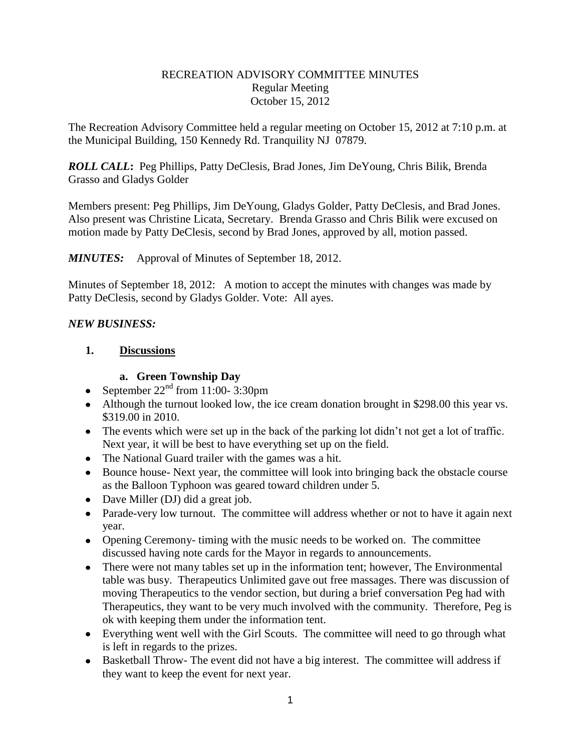#### RECREATION ADVISORY COMMITTEE MINUTES Regular Meeting October 15, 2012

The Recreation Advisory Committee held a regular meeting on October 15, 2012 at 7:10 p.m. at the Municipal Building, 150 Kennedy Rd. Tranquility NJ 07879.

*ROLL CALL***:** Peg Phillips, Patty DeClesis, Brad Jones, Jim DeYoung, Chris Bilik, Brenda Grasso and Gladys Golder

Members present: Peg Phillips, Jim DeYoung, Gladys Golder, Patty DeClesis, and Brad Jones. Also present was Christine Licata, Secretary. Brenda Grasso and Chris Bilik were excused on motion made by Patty DeClesis, second by Brad Jones, approved by all, motion passed.

*MINUTES:* Approval of Minutes of September 18, 2012.

Minutes of September 18, 2012: A motion to accept the minutes with changes was made by Patty DeClesis, second by Gladys Golder. Vote: All ayes.

#### *NEW BUSINESS:*

### **1. Discussions**

#### **a. Green Township Day**

- September  $22<sup>nd</sup>$  from 11:00-3:30pm
- Although the turnout looked low, the ice cream donation brought in \$298.00 this year vs. \$319.00 in 2010.
- The events which were set up in the back of the parking lot didn't not get a lot of traffic. Next year, it will be best to have everything set up on the field.
- The National Guard trailer with the games was a hit.
- Bounce house- Next year, the committee will look into bringing back the obstacle course as the Balloon Typhoon was geared toward children under 5.
- Dave Miller (DJ) did a great job.
- Parade-very low turnout. The committee will address whether or not to have it again next year.
- Opening Ceremony- timing with the music needs to be worked on. The committee discussed having note cards for the Mayor in regards to announcements.
- There were not many tables set up in the information tent; however, The Environmental table was busy. Therapeutics Unlimited gave out free massages. There was discussion of moving Therapeutics to the vendor section, but during a brief conversation Peg had with Therapeutics, they want to be very much involved with the community. Therefore, Peg is ok with keeping them under the information tent.
- Everything went well with the Girl Scouts. The committee will need to go through what is left in regards to the prizes.
- Basketball Throw- The event did not have a big interest. The committee will address if they want to keep the event for next year.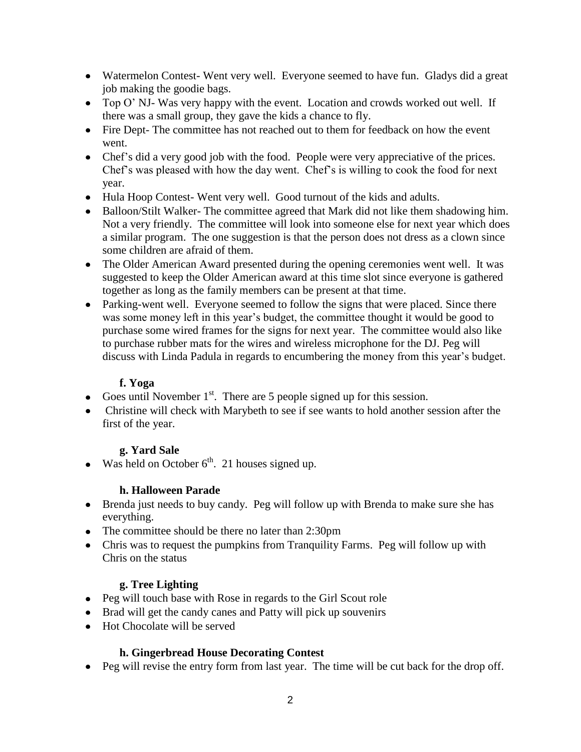- Watermelon Contest- Went very well. Everyone seemed to have fun. Gladys did a great job making the goodie bags.
- Top O' NJ- Was very happy with the event. Location and crowds worked out well. If there was a small group, they gave the kids a chance to fly.
- Fire Dept- The committee has not reached out to them for feedback on how the event went.
- Chef's did a very good job with the food. People were very appreciative of the prices. Chef's was pleased with how the day went. Chef's is willing to cook the food for next year.
- Hula Hoop Contest- Went very well. Good turnout of the kids and adults.
- Balloon/Stilt Walker- The committee agreed that Mark did not like them shadowing him. Not a very friendly. The committee will look into someone else for next year which does a similar program. The one suggestion is that the person does not dress as a clown since some children are afraid of them.
- The Older American Award presented during the opening ceremonies went well. It was suggested to keep the Older American award at this time slot since everyone is gathered together as long as the family members can be present at that time.
- Parking-went well. Everyone seemed to follow the signs that were placed. Since there was some money left in this year's budget, the committee thought it would be good to purchase some wired frames for the signs for next year. The committee would also like to purchase rubber mats for the wires and wireless microphone for the DJ. Peg will discuss with Linda Padula in regards to encumbering the money from this year's budget.

## **f. Yoga**

- Goes until November  $1<sup>st</sup>$ . There are 5 people signed up for this session.
- Christine will check with Marybeth to see if see wants to hold another session after the first of the year.

# **g. Yard Sale**

• Was held on October  $6<sup>th</sup>$ . 21 houses signed up.

### **h. Halloween Parade**

- Brenda just needs to buy candy. Peg will follow up with Brenda to make sure she has everything.
- The committee should be there no later than 2:30pm
- Chris was to request the pumpkins from Tranquility Farms. Peg will follow up with Chris on the status

# **g. Tree Lighting**

- Peg will touch base with Rose in regards to the Girl Scout role
- Brad will get the candy canes and Patty will pick up souvenirs
- Hot Chocolate will be served

# **h. Gingerbread House Decorating Contest**

• Peg will revise the entry form from last year. The time will be cut back for the drop off.